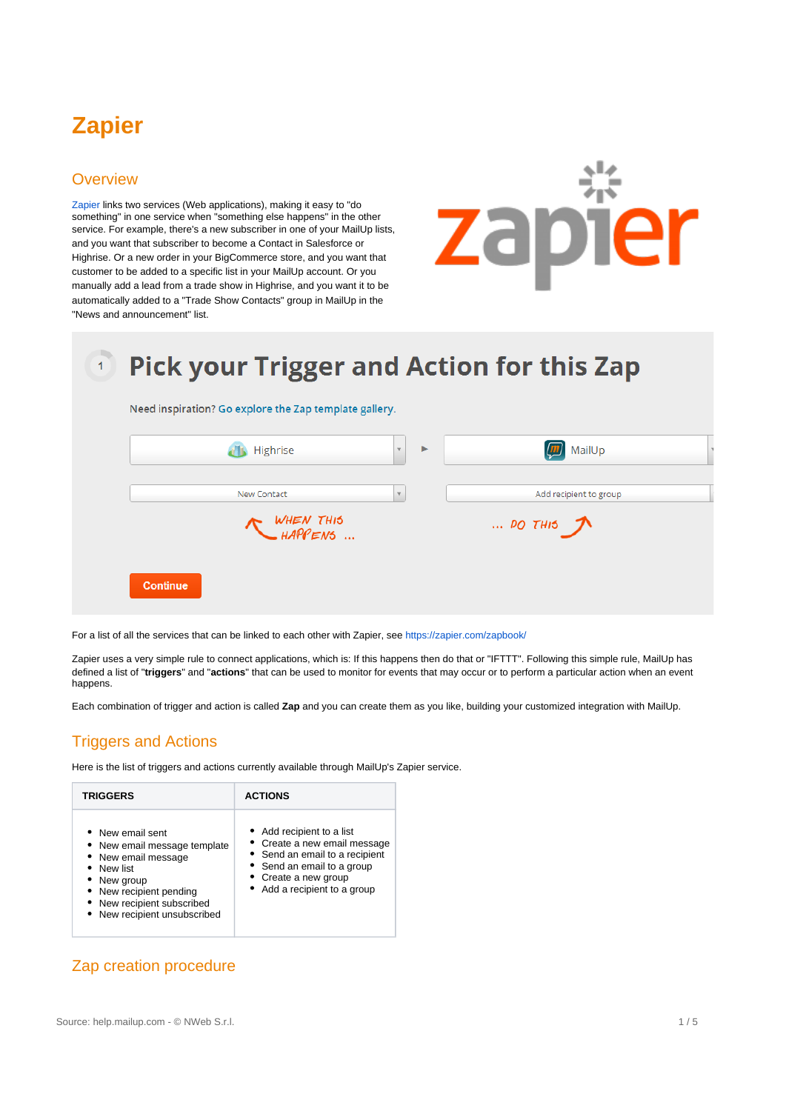# **Zapier**

## **Overview**

[Zapier](https://zapier.com) links two services (Web applications), making it easy to "do something" in one service when "something else happens" in the other service. For example, there's a new subscriber in one of your MailUp lists, and you want that subscriber to become a Contact in Salesforce or Highrise. Or a new order in your BigCommerce store, and you want that customer to be added to a specific list in your MailUp account. Or you manually add a lead from a trade show in Highrise, and you want it to be automatically added to a "Trade Show Contacts" group in MailUp in the "News and announcement" list.



## **Pick your Trigger and Action for this Zap**  $\vert$  1 Need inspiration? Go explore the Zap template gallery. d's Highrise **m** MailUp  $\mathbf{v}$ New Contact Add recipient to group WHEN THIS<br>WHAPPENS ...  $\ldots$  DO THIS  $\pi$ Continue

For a list of all the services that can be linked to each other with Zapier, see<https://zapier.com/zapbook/>

Zapier uses a very simple rule to connect applications, which is: If this happens then do that or "IFTTT". Following this simple rule, MailUp has defined a list of "**triggers**" and "**actions**" that can be used to monitor for events that may occur or to perform a particular action when an event happens.

Each combination of trigger and action is called **Zap** and you can create them as you like, building your customized integration with MailUp.

## Triggers and Actions

Here is the list of triggers and actions currently available through MailUp's Zapier service.

| <b>TRIGGERS</b>                                                                                                                                                                             | <b>ACTIONS</b>                                                                                                                                                                    |  |  |  |
|---------------------------------------------------------------------------------------------------------------------------------------------------------------------------------------------|-----------------------------------------------------------------------------------------------------------------------------------------------------------------------------------|--|--|--|
| • New email sent<br>• New email message template<br>• New email message<br>New list<br>• New group<br>• New recipient pending<br>• New recipient subscribed<br>• New recipient unsubscribed | • Add recipient to a list<br>• Create a new email message<br>• Send an email to a recipient<br>• Send an email to a group<br>• Create a new group<br>• Add a recipient to a group |  |  |  |

## Zap creation procedure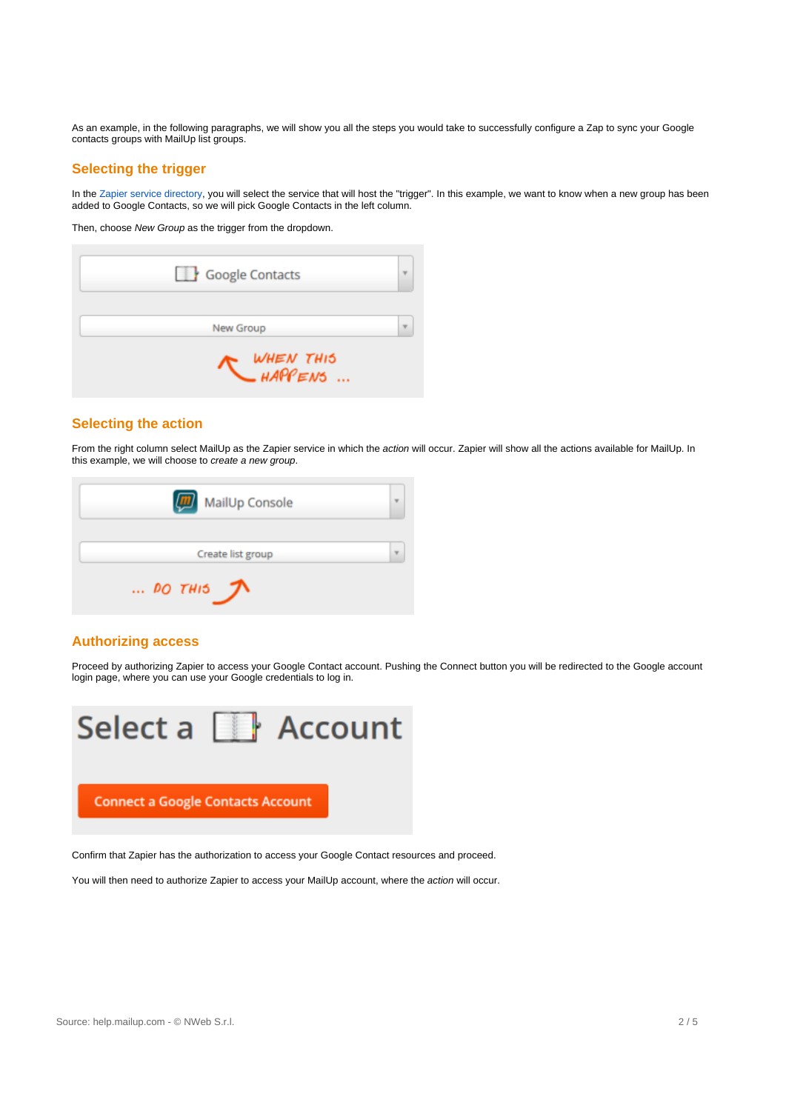As an example, in the following paragraphs, we will show you all the steps you would take to successfully configure a Zap to sync your Google contacts groups with MailUp list groups.

#### **Selecting the trigger**

In the [Zapier service directory](https://zapier.com/zapbook/), you will select the service that will host the "trigger". In this example, we want to know when a new group has been added to Google Contacts, so we will pick Google Contacts in the left column.

Then, choose New Group as the trigger from the dropdown.

| Google Contacts                            |  |
|--------------------------------------------|--|
| New Group                                  |  |
| - <i>WHEN THI</i> S<br>— <i>HAPPEN</i> S … |  |

#### **Selecting the action**

From the right column select MailUp as the Zapier service in which the action will occur. Zapier will show all the actions available for MailUp. In this example, we will choose to create a new group.

| (m)<br>MailUp Console |  |
|-----------------------|--|
| Create list group     |  |
| $$ DO THIS $\pi$      |  |

#### **Authorizing access**

Proceed by authorizing Zapier to access your Google Contact account. Pushing the Connect button you will be redirected to the Google account login page, where you can use your Google credentials to log in.



Confirm that Zapier has the authorization to access your Google Contact resources and proceed.

You will then need to authorize Zapier to access your MailUp account, where the action will occur.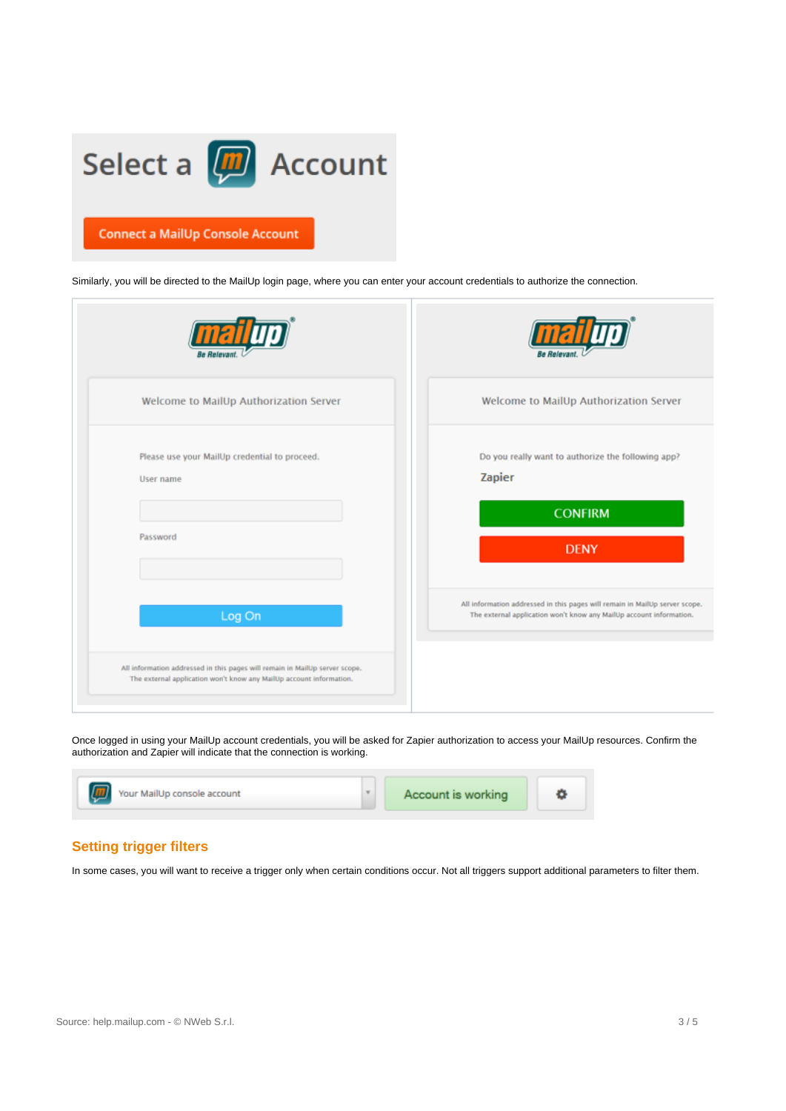

Similarly, you will be directed to the MailUp login page, where you can enter your account credentials to authorize the connection.

| Welcome to MailUp Authorization Server                                                                                                             | Welcome to MailUp Authorization Server                                                                                                             |
|----------------------------------------------------------------------------------------------------------------------------------------------------|----------------------------------------------------------------------------------------------------------------------------------------------------|
| Please use your MailUp credential to proceed.<br>User name<br>Password                                                                             | Do you really want to authorize the following app?<br>Zapier<br><b>CONFIRM</b><br><b>DENY</b>                                                      |
| Log On                                                                                                                                             | All information addressed in this pages will remain in MailUp server scope.<br>The external application won't know any MailUp account information. |
| All information addressed in this pages will remain in MailUp server scope.<br>The external application won't know any MailUp account information. |                                                                                                                                                    |

Once logged in using your MailUp account credentials, you will be asked for Zapier authorization to access your MailUp resources. Confirm the authorization and Zapier will indicate that the connection is working.



#### **Setting trigger filters**

In some cases, you will want to receive a trigger only when certain conditions occur. Not all triggers support additional parameters to filter them.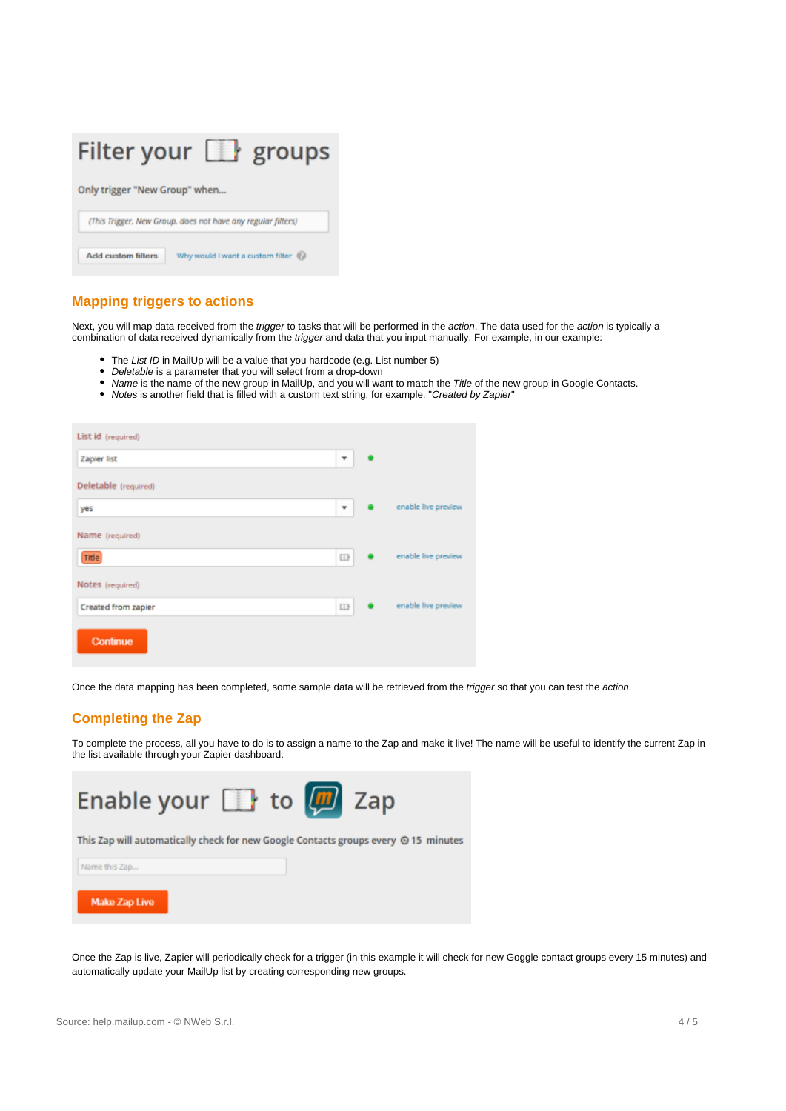

#### **Mapping triggers to actions**

Next, you will map data received from the trigger to tasks that will be performed in the action. The data used for the action is typically a combination of data received dynamically from the trigger and data that you input manually. For example, in our example:

- The List ID in MailUp will be a value that you hardcode (e.g. List number 5)
- Deletable is a parameter that you will select from a drop-down
- Name is the name of the new group in MailUp, and you will want to match the Title of the new group in Google Contacts.
- Notes is another field that is filled with a custom text string, for example, "Created by Zapier"

| List id (required)   |                      |                     |
|----------------------|----------------------|---------------------|
| Zapier list          | ٠                    |                     |
| Deletable (required) |                      |                     |
| yes                  | ٠                    | enable live preview |
| Name (required)      |                      |                     |
| Title                | $\qquad \qquad \Box$ | enable live preview |
| Notes (required)     |                      |                     |
| Created from zapier  | $\Box$               | enable live preview |
| Continue             |                      |                     |

Once the data mapping has been completed, some sample data will be retrieved from the trigger so that you can test the action.

#### **Completing the Zap**

To complete the process, all you have to do is to assign a name to the Zap and make it live! The name will be useful to identify the current Zap in the list available through your Zapier dashboard.



Once the Zap is live, Zapier will periodically check for a trigger (in this example it will check for new Goggle contact groups every 15 minutes) and automatically update your MailUp list by creating corresponding new groups.